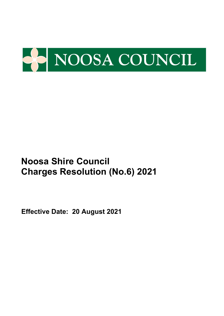

**Effective Date: 20 August 2021**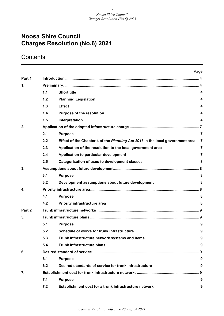## **Contents**

|        |     |                                                                               | Page           |
|--------|-----|-------------------------------------------------------------------------------|----------------|
| Part 1 |     |                                                                               |                |
| 1.     |     |                                                                               |                |
|        | 1.1 | <b>Short title</b>                                                            | 4              |
|        | 1.2 | <b>Planning Legislation</b>                                                   | 4              |
|        | 1.3 | <b>Effect</b>                                                                 | 4              |
|        | 1.4 | <b>Purpose of the resolution</b>                                              | 4              |
|        | 1.5 | Interpretation                                                                | 4              |
| 2.     |     |                                                                               |                |
|        | 2.1 | <b>Purpose</b>                                                                | $\overline{7}$ |
|        | 2.2 | Effect of the Chapter 4 of the Planning Act 2016 in the local government area | $\overline{7}$ |
|        | 2.3 | Application of the resolution to the local government area                    | $\overline{7}$ |
|        | 2.4 | Application to particular development                                         | $\overline{7}$ |
|        | 2.5 | <b>Categorisation of uses to development classes</b>                          | 8              |
| 3.     |     |                                                                               |                |
|        | 3.1 | <b>Purpose</b>                                                                | 8              |
|        | 3.2 | Development assumptions about future development                              | 8              |
| 4.     |     |                                                                               | . 8            |
|        | 4.1 | <b>Purpose</b>                                                                | 8              |
|        | 4.2 | <b>Priority infrastructure area</b>                                           | 8              |
| Part 2 |     |                                                                               |                |
| 5.     |     |                                                                               |                |
|        | 5.1 | <b>Purpose</b>                                                                | 9              |
|        | 5.2 | Schedule of works for trunk infrastructure                                    | 9              |
|        | 5.3 | Trunk infrastructure network systems and items                                | 9              |
|        | 5.4 | Trunk infrastructure plans                                                    | 9              |
| 6.     |     |                                                                               |                |
|        | 6.1 | <b>Purpose</b>                                                                | 9              |
|        | 6.2 | Desired standards of service for trunk infrastructure                         | 9              |
| 7.     |     |                                                                               | . 9            |
|        | 7.1 | <b>Purpose</b>                                                                | 9              |
|        | 7.2 | Establishment cost for a trunk infrastructure network                         | 9              |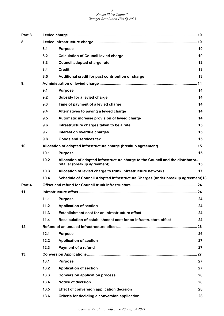| Part 3 |      |                                                                                                                 |    |
|--------|------|-----------------------------------------------------------------------------------------------------------------|----|
| 8.     |      |                                                                                                                 |    |
|        | 8.1  | <b>Purpose</b>                                                                                                  | 10 |
|        | 8.2  | <b>Calculation of Council levied charge</b>                                                                     | 10 |
|        | 8.3  | Council adopted charge rate                                                                                     | 12 |
|        | 8.4  | <b>Credit</b>                                                                                                   | 13 |
|        | 8.5  | Additional credit for past contribution or charge                                                               | 13 |
| 9.     |      |                                                                                                                 |    |
|        | 9.1  | <b>Purpose</b>                                                                                                  | 14 |
|        | 9.2  | Subsidy for a levied charge                                                                                     | 14 |
|        | 9.3  | Time of payment of a levied charge                                                                              | 14 |
|        | 9.4  | Alternatives to paying a levied charge                                                                          | 14 |
|        | 9.5  | Automatic increase provision of levied charge                                                                   | 14 |
|        | 9.6  | Infrastructure charges taken to be a rate                                                                       | 15 |
|        | 9.7  | Interest on overdue charges                                                                                     | 15 |
|        | 9.8  | <b>Goods and services tax</b>                                                                                   | 15 |
| 10.    |      |                                                                                                                 |    |
|        | 10.1 | <b>Purpose</b>                                                                                                  | 15 |
|        | 10.2 | Allocation of adopted infrastructure charge to the Council and the distributor-<br>retailer (breakup agreement) | 15 |
|        | 10.3 | Allocation of levied charge to trunk infrastructure networks                                                    | 17 |
|        | 10.4 | Schedule of Council Adopted Infrastructure Charges (under breakup agreement)18                                  |    |
| Part 4 |      |                                                                                                                 |    |
| 11.    |      |                                                                                                                 |    |
|        |      | 11.1 Purpose                                                                                                    | 24 |
|        | 11.2 | <b>Application of section</b>                                                                                   | 24 |
|        | 11.3 | Establishment cost for an infrastructure offset                                                                 | 24 |
|        | 11.4 | Recalculation of establishment cost for an infrastructure offset                                                | 24 |
| 12.    |      |                                                                                                                 |    |
|        | 12.1 | <b>Purpose</b>                                                                                                  | 26 |
|        | 12.2 | <b>Application of section</b>                                                                                   | 27 |
|        | 12.3 | <b>Payment of a refund</b>                                                                                      | 27 |
| 13.    |      |                                                                                                                 |    |
|        | 13.1 | <b>Purpose</b>                                                                                                  | 27 |
|        | 13.2 | <b>Application of section</b>                                                                                   | 27 |
|        | 13.3 | <b>Conversion application process</b>                                                                           | 28 |
|        | 13.4 | <b>Notice of decision</b>                                                                                       | 28 |
|        | 13.5 | Effect of conversion application decision                                                                       | 28 |
|        | 13.6 | Criteria for deciding a conversion application                                                                  | 28 |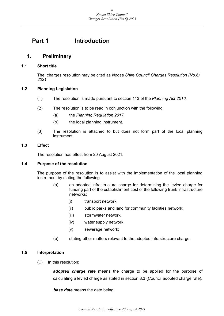## <span id="page-3-0"></span>**Part 1 Introduction**

## <span id="page-3-1"></span>**1. Preliminary**

#### <span id="page-3-2"></span>**1.1 Short title**

The charges resolution may be cited as *Noosa Shire Council Charges Resolution (No.6) 2021*.

#### <span id="page-3-3"></span>**1.2 Planning Legislation**

- (1) The resolution is made pursuant to section 113 of the *Planning Act 2016*.
- (2) The resolution is to be read in conjunction with the following:
	- (a) the *Planning Regulation 2017*;
	- (b) the local planning instrument.
- (3) The resolution is attached to but does not form part of the local planning instrument.

#### <span id="page-3-4"></span>**1.3 Effect**

The resolution has effect from 20 August 2021.

#### <span id="page-3-5"></span>**1.4 Purpose of the resolution**

The purpose of the resolution is to assist with the implementation of the local planning instrument by stating the following:

- (a) an adopted infrastructure charge for determining the levied charge for funding part of the establishment cost of the following trunk infrastructure networks:
	- (i) transport network;
	- (ii) public parks and land for community facilities network;
	- (iii) stormwater network;
	- (iv) water supply network;
	- (v) sewerage network;
- (b) stating other matters relevant to the adopted infrastructure charge.

#### <span id="page-3-6"></span>**1.5 Interpretation**

(1) In this resolution:

*adopted charge rate* means the charge to be applied for the purpose of calculating a levied charge as stated in section 8.3 (Council adopted charge rate).

*base date* means the date being: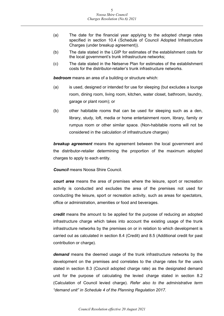- (a) The date for the financial year applying to the adopted charge rates specified in section 10.4 (Schedule of Council Adopted Infrastructure Charges (under breakup agreement)).
- (b) The date stated in the LGIP for estimates of the establishment costs for the local government's trunk infrastructure networks;
- (c) The date stated in the Netserve Plan for estimates of the establishment costs for the distributor-retailer's trunk infrastructure networks.

*bedroom* means an area of a building or structure which:

- (a) is used, designed or intended for use for sleeping (but excludes a lounge room, dining room, living room, kitchen, water closet, bathroom, laundry, garage or plant room); or
- (b) other habitable rooms that can be used for sleeping such as a den, library, study, loft, media or home entertainment room, library, family or rumpus room or other similar space. (Non-habitable rooms will not be considered in the calculation of infrastructure charges)

*breakup agreement* means the agreement between the local government and the distributor-retailer determining the proportion of the maximum adopted charges to apply to each entity.

*Council* means Noosa Shire Council.

*court area* means the area of premises where the leisure, sport or recreation activity is conducted and excludes the area of the premises not used for conducting the leisure, sport or recreation activity, such as areas for spectators, office or administration, amenities or food and beverages.

*credit* means the amount to be applied for the purpose of reducing an adopted infrastructure charge which takes into account the existing usage of the trunk infrastructure networks by the premises on or in relation to which development is carried out as calculated in section 8.4 (Credit) and 8.5 (Additional credit for past contribution or charge).

*demand* means the deemed usage of the trunk infrastructure networks by the development on the premises and correlates to the charge rates for the use/s stated in section 8.3 (Council adopted charge rate) as the designated demand unit for the purpose of calculating the levied charge stated in section 8.2 (Calculation of Council levied charge). *Refer also to the administrative term "demand unit" in Schedule 4 of the Planning Regulation 2017.*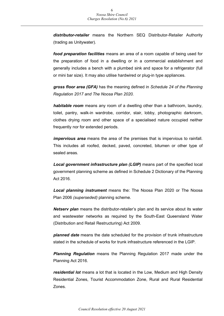*distributor-retailer* means the Northern SEQ Distributor-Retailer Authority (trading as Unitywater).

*food preparation facilities* means an area of a room capable of being used for the preparation of food in a dwelling or in a commercial establishment and generally includes a bench with a plumbed sink and space for a refrigerator (full or mini bar size). It may also utilise hardwired or plug-in type appliances.

*gross floor area (GFA)* has the meaning defined in *Schedule 24 of the Planning Regulation 2017 and The Noosa Plan 2020.*

*habitable room* means any room of a dwelling other than a bathroom, laundry, toilet, pantry, walk-in wardrobe, corridor, stair, lobby, photographic darkroom, clothes drying room and other space of a specialised nature occupied neither frequently nor for extended periods.

*impervious area* means the area of the premises that is impervious to rainfall. This includes all roofed, decked, paved, concreted, bitumen or other type of sealed areas.

*Local government infrastructure plan (LGIP)* means part of the specified local government planning scheme as defined in Schedule 2 Dictionary of the Planning Act 2016.

*Local planning instrument* means the: The Noosa Plan 2020 or The Noosa Plan 2006 *(superseded)* planning scheme.

*Netserv plan* means the distributor-retailer's plan and its service about its water and wastewater networks as required by the South-East Queensland Water (Distribution and Retail Restructuring) Act 2009.

*planned date* means the date scheduled for the provision of trunk infrastructure stated in the schedule of works for trunk infrastructure referenced in the LGIP.

*Planning Regulation* means the Planning Regulation 2017 made under the Planning Act 2016.

*residential lot* means a lot that is located in the Low, Medium and High Density Residential Zones, Tourist Accommodation Zone, Rural and Rural Residential Zones.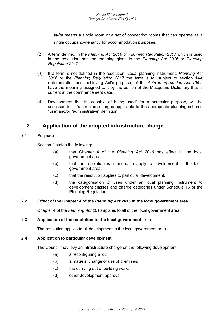*suite* means a single room or a set of connecting rooms that can operate as a

single occupancy/tenancy for accommodation purposes.

- (2) A term defined in the *Planning Act 2016* or *Planning Regulation 2017* which is used in the resolution has the meaning given in the *Planning Act 2016* or *Planning Regulation 2017*.
- (3) If a term is not defined in the resolution, Local planning instrument, *Planning Act 2016* or the *Planning Regulation 2017* the term is to, subject to section 14A (Interpretation best achieving Act's purpose) of the *Acts Interpretation Act 1954*, have the meaning assigned to it by the edition of the Macquarie Dictionary that is current at the commencement date.
- (4) Development that is "capable of being used" for a particular purpose, will be assessed for infrastructure charges applicable to the appropriate planning scheme "use" and/or "administrative" definition.

## <span id="page-6-0"></span>**2. Application of the adopted infrastructure charge**

#### <span id="page-6-1"></span>**2.1 Purpose**

Section 2 states the following:

- (a) that Chapter 4 of the *Planning Act 2016* has effect in the local government area;
- (b) that the resolution is intended to apply to development in the local government area;
- (c) that the resolution applies to particular development;
- (d) the categorisation of uses under an local planning instrument to development classes and charge categories under Schedule 16 of the Planning Regulation.

#### <span id="page-6-2"></span>**2.2 Effect of the Chapter 4 of the** *Planning Act 2016* **in the local government area**

Chapter 4 of the *Planning Act 2016* applies to all of the local government area.

#### <span id="page-6-3"></span>**2.3 Application of the resolution to the local government area**

The resolution applies to all development in the local government area.

#### <span id="page-6-4"></span>**2.4 Application to particular development**

The Council may levy an infrastructure charge on the following development:

- (a) a reconfiguring a lot;
- (b) a material change of use of premises;
- (c) the carrying out of building work;
- (d) other development approval.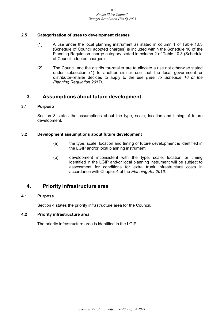#### <span id="page-7-0"></span>**2.5 Categorisation of uses to development classes**

- (1) A use under the local planning instrument as stated in column 1 of Table 10.3 (Schedule of Council adopted charges) is included within the Schedule 16 of the Planning Regulation charge category stated in column 2 of Table 10.3 (Schedule of Council adopted charges).
- (2) The Council and the distributor-retailer are to allocate a use not otherwise stated under subsection (1) to another similar use that the local government or distributor-retailer decides to apply to the use *(refer to Schedule 16 of the Planning Regulation 2017)*.

## <span id="page-7-1"></span>**3. Assumptions about future development**

#### <span id="page-7-2"></span>**3.1 Purpose**

Section 3 states the assumptions about the type, scale, location and timing of future development.

#### <span id="page-7-3"></span>**3.2 Development assumptions about future development**

- (a) the type, scale, location and timing of future development is identified in the LGIP and/or local planning instrument
- (b) development inconsistent with the type, scale, location or timing identified in the LGIP and/or local planning instrument will be subject to assessment for conditions for extra trunk infrastructure costs in accordance with Chapter 4 of the *Planning Act 2016*.

## <span id="page-7-4"></span>**4. Priority infrastructure area**

#### <span id="page-7-5"></span>**4.1 Purpose**

Section 4 states the priority infrastructure area for the Council.

#### <span id="page-7-6"></span>**4.2 Priority infrastructure area**

The priority infrastructure area is identified in the LGIP.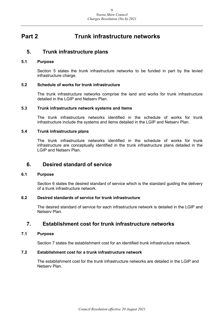## <span id="page-8-0"></span>**Part 2 Trunk infrastructure networks**

### <span id="page-8-1"></span>**5. Trunk infrastructure plans**

#### <span id="page-8-2"></span>**5.1 Purpose**

Section 5 states the trunk infrastructure networks to be funded in part by the levied infrastructure charge.

#### <span id="page-8-3"></span>**5.2 Schedule of works for trunk infrastructure**

The trunk infrastructure networks comprise the land and works for trunk infrastructure detailed in the LGIP and Netserv Plan.

#### <span id="page-8-4"></span>**5.3 Trunk infrastructure network systems and items**

The trunk infrastructure networks identified in the schedule of works for trunk infrastructure include the systems and items detailed in the LGIP and Netserv Plan.

#### <span id="page-8-5"></span>**5.4 Trunk infrastructure plans**

The trunk infrastructure networks identified in the schedule of works for trunk infrastructure are conceptually identified in the trunk infrastructure plans detailed in the LGIP and Netserv Plan.

### <span id="page-8-6"></span>**6. Desired standard of service**

#### <span id="page-8-7"></span>**6.1 Purpose**

Section 6 states the desired standard of service which is the standard guiding the delivery of a trunk infrastructure network.

#### <span id="page-8-8"></span>**6.2 Desired standards of service for trunk infrastructure**

The desired standard of service for each infrastructure network is detailed in the LGIP and Netserv Plan.

## <span id="page-8-9"></span>**7. Establishment cost for trunk infrastructure networks**

#### <span id="page-8-10"></span>**7.1 Purpose**

Section 7 states the establishment cost for an identified trunk infrastructure network.

#### <span id="page-8-11"></span>**7.2 Establishment cost for a trunk infrastructure network**

The establishment cost for the trunk infrastructure networks are detailed in the LGIP and Netserv Plan.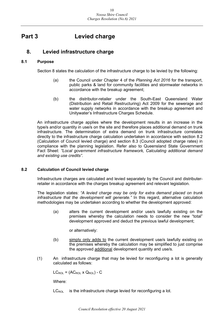## <span id="page-9-0"></span>**Part 3 Levied charge**

## <span id="page-9-1"></span>**8. Levied infrastructure charge**

#### <span id="page-9-2"></span>**8.1 Purpose**

Section 8 states the calculation of the infrastructure charge to be levied by the following:

- (a) the Council under Chapter 4 of the *Planning Act 2016* for the transport, public parks & land for community facilities and stormwater networks in accordance with the breakup agreement;
- (b) the distributor-retailer under the South-East Queensland Water (Distribution and Retail Restructuring) Act 2009 for the sewerage and water supply networks in accordance with the breakup agreement and Unitywater's Infrastructure Charges Schedule.

An infrastructure charge applies where the development results in an increase in the type/s and/or quantity in use/s on the site and therefore places additional demand on trunk infrastructure. The determination of extra demand on trunk infrastructure correlates directly to the infrastructure charge calculation undertaken in accordance with section 8.2 (Calculation of Council levied charge) and section 8.3 (Council adopted charge rates) in compliance with the planning legislation. Refer also to Queensland State Government Fact Sheet: *"Local government infrastructure framework, Calculating additional demand and existing use credits"*.

#### <span id="page-9-3"></span>**8.2 Calculation of Council levied charge**

Infrastructure charges are calculated and levied separately by the Council and distributerretailer in accordance with the charges breakup agreement and relevant legislation.

The legislation states: *"A levied charge may be only for extra demand placed on trunk infrastructure that the development will generate."* In this regard, alternative calculation methodologies may be undertaken according to whether the development approved:

(a) alters the current development and/or use/s lawfully existing on the premises whereby the calculation needs to consider the new "total" development approved and deduct the previous lawful development;

or alternatively:

- (b) simply only adds to the current development use/s lawfully existing on the premises whereby the calculation may be simplified to just comprise the approved additional development quantity and use/s.
- (1) An infrastructure charge that may be levied for reconfiguring a lot is generally calculated as follows:

 $LC_{\text{ROL}} = (AC_{\text{ROL}} \times Q_{\text{ROL}}) - C$ 

Where:

 $LC_{\text{ROL}}$  is the infrastructure charge levied for reconfiguring a lot.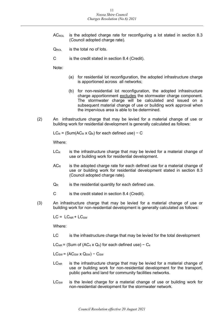- $AC_{ROL}$  is the adopted charge rate for reconfiguring a lot stated in section 8.3 (Council adopted charge rate).
- $Q_{\text{ROI}}$  is the total no of lots.
- C is the credit stated in section 8.4 (Credit).

Note:

- (a) for residential lot reconfiguration, the adopted infrastructure charge is apportioned across all networks;
- (b) for non-residential lot reconfiguration, the adopted infrastructure charge apportionment excludes the stormwater charge component. The stormwater charge will be calculated and issued on a subsequent material change of use or building work approval when the impervious area is able to be determined.
- (2) An infrastructure charge that may be levied for a material change of use or building work for residential development is generally calculated as follows:

 $LC_R = (Sum(AC_R \times Q_R)$  for each defined use) – C

Where:

- $LC<sub>R</sub>$  is the infrastructure charge that may be levied for a material change of use or building work for residential development.
- $AC<sub>R</sub>$  is the adopted charge rate for each defined use for a material change of use or building work for residential development stated in section 8.3 (Council adopted charge rate).
- $Q_R$  is the residential quantity for each defined use.
- C is the credit stated in section 8.4 (Credit).
- (3) An infrastructure charge that may be levied for a material change of use or building work for non-residential development is generally calculated as follows:

 $LC = LC_{NR} + LC_{SW}$ 

Where:

LC is the infrastructure charge that may be levied for the total development

LC<sub>NR</sub> = (Sum of (AC<sub>4</sub> x Q<sub>4</sub>) for each defined use) – C<sub>4</sub>

 $LC_{SW} = (AC_{SW} \times Q_{SW}) - C_{SW}$ 

- $LC<sub>NR</sub>$  is the infrastructure charge that may be levied for a material change of use or building work for non-residential development for the transport, public parks and land for community facilities networks.
- $LC<sub>SW</sub>$  is the levied charge for a material change of use or building work for non-residential development for the stormwater network.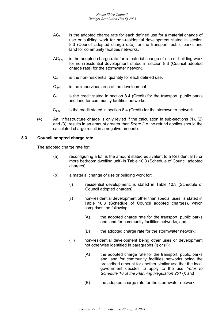- $AC<sub>4</sub>$  is the adopted charge rate for each defined use for a material change of use or building work for non-residential development stated in section 8.3 (Council adopted charge rate) for the transport, public parks and land for community facilities networks.
- $AC<sub>SW</sub>$  is the adopted charge rate for a material change of use or building work for non-residential development stated in section 8.3 (Council adopted charge rate) for the stormwater network.
- $Q_4$  is the non-residential quantity for each defined use.
- $Q_{SW}$  is the impervious area of the development.
- $C_4$  is the credit stated in section 8.4 (Credit) for the transport, public parks and land for community facilities networks.
- $C_{SW}$  is the credit stated in section 8.4 (Credit) for the stormwater network.
- (4) An infrastructure charge is only levied if the calculation in sub-sections (1), (2) and (3) results in an amount greater than \$zero (i.e. no refund applies should the calculated charge result in a negative amount).

#### <span id="page-11-0"></span>**8.3 Council adopted charge rate**

The adopted charge rate for:

- (a) reconfiguring a lot, is the amount stated equivalent to a Residential (3 or more bedroom dwelling unit) in Table 10.3 (Schedule of Council adopted charges);
- (b) a material change of use or building work for:
	- (i) residential development, is stated in Table 10.3 (Schedule of Council adopted charges);
	- (ii) non-residential development other than special uses, is stated in Table 10.3 (Schedule of Council adopted charges), which comprises the following:
		- (A) the adopted charge rate for the transport, public parks and land for community facilities networks; and
		- (B) the adopted charge rate for the stormwater network;
	- (iii) non-residential development being other uses or development not otherwise identified in paragraphs (i) or (ii):
		- (A) the adopted charge rate for the transport, public parks and land for community facilities networks being the prescribed amount for another similar use that the local government decides to apply to the use *(refer to Schedule 16 of the Planning Regulation 2017)*; and
		- (B) the adopted charge rate for the stormwater network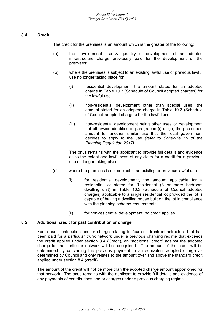#### <span id="page-12-0"></span>**8.4 Credit**

The credit for the premises is an amount which is the greater of the following:

- (a) the development use & quantity of development of an adopted infrastructure charge previously paid for the development of the premises;
- (b) where the premises is subject to an existing lawful use or previous lawful use no longer taking place for:
	- (i) residential development, the amount stated for an adopted charge in Table 10.3 (Schedule of Council adopted charges) for the lawful use;
	- (ii) non-residential development other than special uses, the amount stated for an adopted charge in Table 10.3 (Schedule of Council adopted charges) for the lawful use;
	- (iii) non-residential development being other uses or development not otherwise identified in paragraphs (i) or (ii), the prescribed amount for another similar use that the local government decides to apply to the use *(refer to Schedule 16 of the Planning Regulation 2017)*.

The onus remains with the applicant to provide full details and evidence as to the extent and lawfulness of any claim for a credit for a previous use no longer taking place.

- (c) where the premises is not subject to an existing or previous lawful use:
	- (i) for residential development, the amount applicable for a residential lot stated for Residential (3 or more bedroom dwelling unit) in Table 10.3 (Schedule of Council adopted charges) applicable to a single residential lot provided the lot is capable of having a dwelling house built on the lot in compliance with the planning scheme requirements;
	- (ii) for non-residential development, no credit applies.

#### <span id="page-12-1"></span>**8.5 Additional credit for past contribution or charge**

For a past contribution and or charge relating to "current" trunk infrastructure that has been paid for a particular trunk network under a previous charging regime that exceeds the credit applied under section 8.4 (Credit), an "additional credit" against the adopted charge for the particular network will be recognised. The amount of the credit will be determined by converting the previous payment to an equivalent adopted charge as determined by Council and only relates to the amount over and above the standard credit applied under section 8.4 (credit).

The amount of the credit will not be more than the adopted charge amount apportioned for that network. The onus remains with the applicant to provide full details and evidence of any payments of contributions and or charges under a previous charging regime.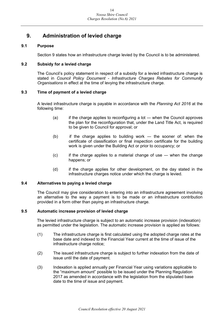## <span id="page-13-0"></span>**9. Administration of levied charge**

#### <span id="page-13-1"></span>**9.1 Purpose**

Section 9 states how an infrastructure charge levied by the Council is to be administered.

#### <span id="page-13-2"></span>**9.2 Subsidy for a levied charge**

The Council's policy statement in respect of a subsidy for a levied infrastructure charge is stated in *Council Policy Document - Infrastructure Charges Rebates for Community Organisations* in effect at the time of levying the infrastructure charge.

#### <span id="page-13-3"></span>**9.3 Time of payment of a levied charge**

A levied infrastructure charge is payable in accordance with the *Planning Act 2016* at the following time:

- $(a)$  if the charge applies to reconfiguring a lot when the Council approves the plan for the reconfiguration that, under the Land Title Act, is required to be given to Council for approval; or
- (b) if the charge applies to building work ― the sooner of: when the certificate of classification or final inspection certificate for the building work is given under the Building Act or prior to occupancy; or
- (c) if the charge applies to a material change of use ― when the change happens; or
- (d) if the charge applies for other development, on the day stated in the infrastructure charges notice under which the charge is levied.

#### <span id="page-13-4"></span>**9.4 Alternatives to paying a levied charge**

The Council may give consideration to entering into an infrastructure agreement involving an alternative to the way a payment is to be made or an infrastructure contribution provided in a form other than paying an infrastructure charge.

#### <span id="page-13-5"></span>**9.5 Automatic increase provision of levied charge**

The levied infrastructure charge is subject to an automatic increase provision (indexation) as permitted under the legislation. The automatic increase provision is applied as follows:

- (1) The infrastructure charge is first calculated using the adopted charge rates at the base date and indexed to the Financial Year current at the time of issue of the infrastructure charge notice;
- (2) The issued infrastructure charge is subject to further indexation from the date of issue until the date of payment.
- (3) Indexation is applied annually per Financial Year using variations applicable to the "maximum amount" possible to be issued under the Planning Regulation 2017 as amended in accordance with the legislation from the stipulated base date to the time of issue and payment.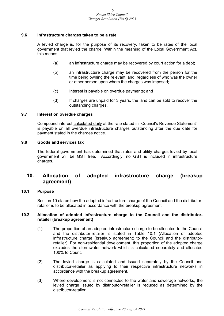#### <span id="page-14-0"></span>**9.6 Infrastructure charges taken to be a rate**

A levied charge is, for the purpose of its recovery, taken to be rates of the local government that levied the charge. Within the meaning of the Local Government Act, this means:

- (a) an infrastructure charge may be recovered by court action for a debt;
- (b) an infrastructure charge may be recovered from the person for the time being owning the relevant land, regardless of who was the owner or other person upon whom the charges was imposed;
- (c) Interest is payable on overdue payments; and
- (d) If charges are unpaid for 3 years, the land can be sold to recover the outstanding charges.

#### <span id="page-14-1"></span>**9.7 Interest on overdue charges**

Compound interest calculated daily at the rate stated in "Council's Revenue Statement" is payable on all overdue infrastructure charges outstanding after the due date for payment stated in the charges notice.

#### <span id="page-14-2"></span>**9.8 Goods and services tax**

The federal government has determined that rates and utility charges levied by local government will be GST free. Accordingly, no GST is included in infrastructure charges.

## <span id="page-14-3"></span>**10. Allocation of adopted infrastructure charge (breakup agreement)**

#### <span id="page-14-4"></span>**10.1 Purpose**

Section 10 states how the adopted infrastructure charge of the Council and the distributorretailer is to be allocated in accordance with the breakup agreement.

#### <span id="page-14-5"></span>**10.2 Allocation of adopted infrastructure charge to the Council and the distributorretailer (breakup agreement)**

- (1) The proportion of an adopted infrastructure charge to be allocated to the Council and the distributor-retailer is stated in Table 10.1 (Allocation of adopted infrastructure charge (breakup agreement) to the Council and the distributorretailer). For non-residential development, this proportion of the adopted charge excludes the stormwater network which is calculated separately and allocated 100% to Council.
- (2) The levied charge is calculated and issued separately by the Council and distributor-retailer as applying to their respective infrastructure networks in accordance with the breakup agreement.
- (3) Where development is not connected to the water and sewerage networks, the levied charge issued by distributor-retailer is reduced as determined by the distributor-retailer.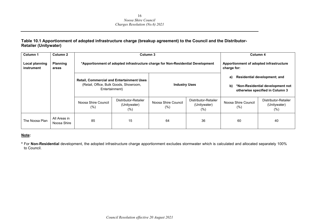#### **Table 10.1 Apportionment of adopted infrastructure charge (breakup agreement) to the Council and the Distributor-Retailer (Unitywater)**

| Column <sub>1</sub>                 | Column 2                    |                            | Column 3                                                                                                                             |                                                                                 |                                                        |                             | Column 4                                                                                                   |
|-------------------------------------|-----------------------------|----------------------------|--------------------------------------------------------------------------------------------------------------------------------------|---------------------------------------------------------------------------------|--------------------------------------------------------|-----------------------------|------------------------------------------------------------------------------------------------------------|
| <b>Local planning</b><br>instrument | <b>Planning</b><br>areas    |                            |                                                                                                                                      | *Apportionment of adopted infrastructure charge for Non-Residential Development | Apportionment of adopted infrastructure<br>charge for: |                             |                                                                                                            |
|                                     |                             |                            | <b>Retail, Commercial and Entertainment Uses</b><br>(Retail, Office, Bulk Goods, Showroom,<br><b>Industry Uses</b><br>Entertainment) |                                                                                 |                                                        |                             | <b>Residential development; and</b><br>*Non-Residential development not<br>otherwise specified in Column 3 |
|                                     |                             | Noosa Shire Council<br>(%) | Distributor-Retailer<br>(Unitywater)<br>$(\% )$                                                                                      | Noosa Shire Council<br>$(\%)$                                                   | Distributor-Retailer<br>(Unitywater)<br>(%)            | Noosa Shire Council<br>(% ) | Distributor-Retailer<br>(Unitywater)<br>$(\%)$                                                             |
| The Noosa Plan                      | All Areas in<br>Noosa Shire | 85                         | 15                                                                                                                                   | 64                                                                              | 36                                                     | 60                          | 40                                                                                                         |

#### **Note:**

**\*** For **Non-Residential** development, the adopted infrastructure charge apportionment excludes stormwater which is calculated and allocated separately 100% to Council.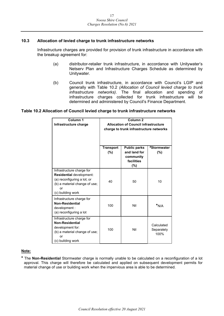#### <span id="page-16-0"></span>**10.3 Allocation of levied charge to trunk infrastructure networks**

Infrastructure charges are provided for provision of trunk infrastructure in accordance with the breakup agreement for:

- (a) distributor-retailer trunk infrastructure, in accordance with Unitywater's Netserv Plan and Infrastructure Charges Schedule as determined by Unitywater.
- (b) Council trunk infrastructure, in accordance with Council's LGIP and generally with Table 10.2 *(Allocation of Council levied charge to trunk infrastructure networks)*. The final allocation and spending of infrastructure charges collected for trunk infrastructure will be determined and administered by Council's Finance Department.

#### **Table 10.2 Allocation of Council levied charge to trunk infrastructure networks**

| Column 1<br>Infrastructure charge                                                                                                                | Column <sub>2</sub><br><b>Allocation of Council infrastructure</b><br>charge to trunk infrastructure networks |                                                                          |                                  |  |  |
|--------------------------------------------------------------------------------------------------------------------------------------------------|---------------------------------------------------------------------------------------------------------------|--------------------------------------------------------------------------|----------------------------------|--|--|
|                                                                                                                                                  | <b>Transport</b><br>(%)                                                                                       | <b>Public parks</b><br>and land for<br>community<br>facilities<br>$(\%)$ | #Stormwater<br>(%)               |  |  |
| Infrastructure charge for<br>Residential development:<br>(a) reconfiguring a lot; or<br>(b) a material change of use;<br>or<br>(c) building work | 40                                                                                                            | 50                                                                       | 10                               |  |  |
| Infrastructure charge for<br><b>Non-Residential</b><br>development :<br>(a) reconfiguring a lot                                                  | 100                                                                                                           | Nil                                                                      | $*_{N/A}$                        |  |  |
| Infrastructure charge for<br><b>Non-Residential</b><br>development for:<br>(b) a material change of use;<br>or<br>(c) building work              | 100                                                                                                           | Nil                                                                      | Calculated<br>Separately<br>100% |  |  |

#### **Note:**

**\*** The **Non-Residential** Stormwater charge is normally unable to be calculated on a reconfiguration of a lot approval. This charge will therefore be calculated and applied on subsequent development permits for material change of use or building work when the impervious area is able to be determined.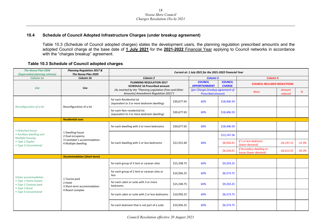#### **10.4 Schedule of Council Adopted Infrastructure Charges (under breakup agreement)**

Table 10.3 (Schedule of Council adopted charges) states the development use/s, the planning regulation prescribed amount/s and the adopted Council charge at the base date of **1 July 2021** for the **2021-2022** Financial Year applying to Council networks in accordance with the "charges breakup" agreement.

#### **Table 10.3 Schedule of Council adopted charges**

<span id="page-17-0"></span>

| The Noosa Plan 2006<br>(Superseded planning scheme)             | <b>Planning Regulation 2017 &amp;</b><br>The Noosa Plan 2020                               | Current at: 1 July 2021 for the 2021-2022 Financial Year                                                                                                                     |             |                                                                |                                 |                                                  |                   |          |
|-----------------------------------------------------------------|--------------------------------------------------------------------------------------------|------------------------------------------------------------------------------------------------------------------------------------------------------------------------------|-------------|----------------------------------------------------------------|---------------------------------|--------------------------------------------------|-------------------|----------|
| Column 1a                                                       | Column 1b                                                                                  | Column <sub>2</sub>                                                                                                                                                          |             | <b>Column 3</b>                                                |                                 | Column <sub>4</sub>                              |                   |          |
| <b>Use</b>                                                      | Use                                                                                        | <b>PLANNING REGULATION 2017</b><br><b>SCHEDULE 16 Prescribed amount</b><br>(As inserted by the "Planning Legislation (Fees and Other<br>Amounts) Amendment Regulation 2021") |             | <b>COUNCIL</b><br><b>APPORTIONMENT</b>                         | <b>COUNCIL</b><br><b>CHARGE</b> | <b>COUNCIL INCLUDED REDUCTIONS</b>               |                   |          |
|                                                                 |                                                                                            |                                                                                                                                                                              |             | (per Charges breakup agreement of<br><b>Prescribed amount)</b> |                                 | <b>Basis</b>                                     | Amount<br>reduced | %        |
| Reconfiguration of a lot                                        | Reconfiguration of a lot                                                                   | for each Residential lot<br>(equivalent to 3 or more bedroom dwelling)                                                                                                       | \$30,677.65 | 60%                                                            | \$18,406.59                     |                                                  |                   |          |
|                                                                 |                                                                                            | for each Non-residential lot<br>(equivalent to 3 or more bedroom dwelling)                                                                                                   | \$30,677.65 | 60%                                                            | \$18,406.59                     |                                                  |                   |          |
|                                                                 | <b>Residential uses</b>                                                                    |                                                                                                                                                                              |             |                                                                |                                 |                                                  |                   |          |
| • Detached house                                                |                                                                                            | for each dwelling with 3 or more bedrooms                                                                                                                                    | \$30,677.65 | 60%                                                            | \$18,406.59                     |                                                  |                   |          |
| • Ancillary dwelling unit<br>Multiple housing                   | 1 Dwelling house<br>2 Dual occupancy<br>3 Caretaker's accommodation<br>4 Multiple dwelling | for each dwelling with 2 or less bedrooms                                                                                                                                    |             |                                                                | \$13,147.56                     |                                                  |                   |          |
| • Type 2 Duplex<br>• Type 4 Conventional                        |                                                                                            |                                                                                                                                                                              | \$21,912.60 | 60%                                                            | \$8,950.41                      | if 1 or less bedroom<br>(lower demand)           | $-54,197.15$      | $-31.9%$ |
|                                                                 |                                                                                            |                                                                                                                                                                              |             |                                                                | \$6,534.01                      | if Secondary dwelling to<br>house (lower demand) | $-56,613.55$      | $-50.3%$ |
|                                                                 | <b>Accommodation (short-term)</b>                                                          |                                                                                                                                                                              |             |                                                                |                                 |                                                  |                   |          |
|                                                                 |                                                                                            | for each group of 3 tent or caravan sites                                                                                                                                    | \$15,338.75 | 60%                                                            | \$9,203.25                      |                                                  |                   |          |
| Visitor accommodation                                           |                                                                                            | for each group of 2 tent or caravan sites or<br>less                                                                                                                         | \$10,956.25 | 60%                                                            | \$6,573.75                      |                                                  |                   |          |
| • Type 1 Home hosted<br>• Type 2 Caravan park<br>• Type 3 Rural | 1 Tourist park<br>2 Hotel<br>3 Short-term accommodation                                    | for each cabin or suite with 3 or more<br>bedrooms                                                                                                                           | \$15,338.75 | 60%                                                            | \$9,203.25                      |                                                  |                   |          |
| • Type 4 Conventional                                           | 4 Resort complex                                                                           | for each cabin or suite with 2 or less bedrooms                                                                                                                              | \$10,956.25 | 60%                                                            | \$6,573.75                      |                                                  |                   |          |
|                                                                 |                                                                                            | for each bedroom that is not part of a suite                                                                                                                                 | \$10,956.25 | 60%                                                            | \$6,573.75                      |                                                  |                   |          |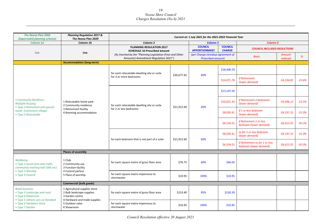| <b>The Noosa Plan 2006</b><br>(Superseded planning scheme)                                                                         | <b>Planning Regulation 2017 &amp;</b><br>The Noosa Plan 2020                                         | Current at: 1 July 2021 for the 2021-2022 Financial Year                                          |             |                                                                |                                 |                                                          |                   |          |
|------------------------------------------------------------------------------------------------------------------------------------|------------------------------------------------------------------------------------------------------|---------------------------------------------------------------------------------------------------|-------------|----------------------------------------------------------------|---------------------------------|----------------------------------------------------------|-------------------|----------|
| Column 1a                                                                                                                          | Column 1b                                                                                            | Column <sub>2</sub>                                                                               |             | <b>Column 3</b>                                                |                                 | Column 4                                                 |                   |          |
|                                                                                                                                    |                                                                                                      | <b>PLANNING REGULATION 2017</b><br><b>SCHEDULE 16 Prescribed amount</b>                           |             | <b>COUNCIL</b><br><b>APPORTIONMENT</b>                         | <b>COUNCIL</b><br><b>CHARGE</b> | <b>COUNCIL INCLUDED REDUCTIONS</b>                       |                   |          |
| <b>Use</b>                                                                                                                         | <b>Use</b>                                                                                           | (As inserted by the "Planning Legislation (Fees and Other<br>Amounts) Amendment Regulation 2021") |             | (per Charges breakup agreement of<br><b>Prescribed amount)</b> |                                 | <b>Basis</b>                                             | Amount<br>reduced | %        |
|                                                                                                                                    | <b>Accommodation (long-term)</b>                                                                     |                                                                                                   |             |                                                                |                                 |                                                          |                   |          |
|                                                                                                                                    |                                                                                                      | for each relocatable dwelling site or suite                                                       | \$30,677.65 | 60%                                                            | \$18,406.59                     |                                                          |                   |          |
|                                                                                                                                    |                                                                                                      | for 3 or more bedrooms                                                                            |             |                                                                | \$14,071.78                     | <b>If Retirement</b><br>(lower demand)                   | $-54,334.81$      | $-23.6%$ |
|                                                                                                                                    |                                                                                                      | for each relocatable dwelling site or suite<br>for 2 or less bedrooms                             |             |                                                                | \$13,147.56                     |                                                          |                   |          |
| • Community Residence<br>Multiple housing<br>• Type 3 Retirement and special<br>needs (retirement village)<br>• Type 5 Relocatable | 1 Relocatable home park<br>2 Community residence<br>3 Retirement facility<br>4 Rooming accommodation |                                                                                                   | \$21,912.60 | 60%                                                            | \$10,051.43                     | if Retirement 2 bedrooms<br>(lower demand)               | $-53,096.13$      | $-23.5%$ |
|                                                                                                                                    |                                                                                                      |                                                                                                   |             |                                                                | \$8,950.41                      | if 1 or less bedroom<br>(lower demand)                   | $-54,197.15$      | $-31.9%$ |
|                                                                                                                                    |                                                                                                      |                                                                                                   |             |                                                                | \$6,534.01                      | if Retirement 1 or less<br>bedroom (lower demand)        | $-56,613.55$      | $-50.3%$ |
|                                                                                                                                    |                                                                                                      | for each bedroom that is not part of a suite                                                      | \$21,912.60 | 60%                                                            | \$8,950.41                      | as for 1 or less bedroom<br>(lower demand)               | $-54,197.15$      | $-31.9%$ |
|                                                                                                                                    |                                                                                                      |                                                                                                   |             |                                                                | \$6,534.01                      | If Retirement as for 1 or less<br>bedroom (lower demand) | $-56,613.55$      | $-50.3%$ |
|                                                                                                                                    | <b>Places of assembly</b>                                                                            |                                                                                                   |             |                                                                |                                 |                                                          |                   |          |
| Wellbeing<br>• Type 2 Social (arts and crafts,<br>community meeting hall CWA etc)                                                  | 1 Club<br>2 Community use<br>3 Function facility                                                     | for each square metre of gross floor area                                                         | \$76.75     | 60%                                                            | \$46.05                         |                                                          |                   |          |
| • Type 3 Worship<br>• Type 4 Funeral                                                                                               | 4 Funeral parlour<br>5 Place of worship                                                              | for each square metre impervious to<br>stormwater                                                 | \$10.95     | 100%                                                           | \$10.95                         |                                                          |                   |          |
|                                                                                                                                    | <b>Commercial (bulk goods)</b>                                                                       |                                                                                                   |             |                                                                |                                 |                                                          |                   |          |
| <b>Retail business</b><br>• Type 3 Landscape and rural<br>• Type 4 Showroom<br>• Type 5 Vehicle uses a) Standard                   | 1 Agricultural supplies store<br>2 Bulk landscape supplies<br>3 Garden centre                        | for each square metre of gross floor area                                                         | \$153.40    | 85%                                                            | \$130.39                        |                                                          |                   |          |
| • Type 6 Hardware Store<br>• Type 7 Garden                                                                                         | 4 Hardware and trade supplies<br>5 Outdoor sales<br>6 Showroom                                       | for each square metre impervious to<br>stormwater                                                 | \$10.95     | 100%                                                           | \$10.95                         |                                                          |                   |          |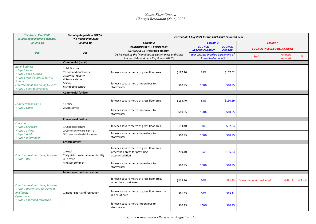| <b>The Noosa Plan 2006</b>                                                                            | <b>Planning Regulation 2017 &amp;</b>                                               | Current at: 1 July 2021 for the 2021-2022 Financial Year                                          |          |                                                                |                                 |                                    |                   |          |
|-------------------------------------------------------------------------------------------------------|-------------------------------------------------------------------------------------|---------------------------------------------------------------------------------------------------|----------|----------------------------------------------------------------|---------------------------------|------------------------------------|-------------------|----------|
| (Superseded planning scheme)<br>Column 1a                                                             | The Noosa Plan 2020<br>Column 1b                                                    | Column <sub>2</sub>                                                                               |          | <b>Column 3</b>                                                |                                 | Column <sub>4</sub>                |                   |          |
|                                                                                                       |                                                                                     | <b>PLANNING REGULATION 2017</b><br><b>SCHEDULE 16 Prescribed amount</b>                           |          | <b>COUNCIL</b><br><b>APPORTIONMENT</b>                         | <b>COUNCIL</b><br><b>CHARGE</b> | <b>COUNCIL INCLUDED REDUCTIONS</b> |                   |          |
| Use                                                                                                   | <b>Use</b>                                                                          | (As inserted by the "Planning Legislation (Fees and Other<br>Amounts) Amendment Regulation 2021") |          | (per Charges breakup agreement of<br><b>Prescribed amount)</b> |                                 | <b>Basis</b>                       | Amount<br>reduced | %        |
|                                                                                                       | <b>Commercial (retail)</b>                                                          |                                                                                                   |          |                                                                |                                 |                                    |                   |          |
| <b>Retail business</b><br>• Type 1 Local<br>• Type 2 Shop & salon<br>• Type 5 Vehicle uses b) Service | 1 Adult store<br>2 Food and drink outlet<br>3 Service industry<br>4 Service station | for each square metre of gross floor area                                                         | \$197.20 | 85%                                                            | \$167.62                        |                                    |                   |          |
| <b>Station</b><br><b>Entertainment and dining business</b><br>• Type 1 Food & beverages               | 5 Shop<br>6 Shopping centre                                                         | for each square metre impervious to<br>stormwater                                                 | \$10.95  | 100%                                                           | \$10.95                         |                                    |                   |          |
|                                                                                                       | <b>Commercial (office)</b>                                                          |                                                                                                   |          |                                                                |                                 |                                    |                   |          |
| <b>Commercial business</b><br>• Type 1 Office                                                         | 1 Office                                                                            | for each square metre of gross floor area                                                         | \$153.40 | 85%                                                            | \$130.39                        |                                    |                   |          |
|                                                                                                       | 2 Sales office                                                                      | for each square metre impervious to<br>stormwater                                                 | \$10.95  | 100%                                                           | \$10.95                         |                                    |                   |          |
|                                                                                                       | <b>Educational facility</b>                                                         |                                                                                                   |          |                                                                |                                 |                                    |                   |          |
| Education<br>• Type 1 Childcare                                                                       | 1 Childcare centre<br>2 Community care centre                                       | for each square metre of gross floor area                                                         | \$153.40 | 60%                                                            | \$92.04                         |                                    |                   |          |
| • Type 2 School<br>• Type 3 Adult<br>• Type 4 Information                                             | 3 Educational establishment                                                         | for each square metre impervious to<br>stormwater                                                 | \$10.95  | 100%                                                           | \$10.95                         |                                    |                   |          |
|                                                                                                       | <b>Entertainment</b>                                                                |                                                                                                   |          |                                                                |                                 |                                    |                   |          |
| <b>Entertainment and dining business</b><br>• Type 3 Bar                                              | 1 Hotel<br>2 Nightclub entertainment facility<br>3 Theatre                          | for each square metre of gross floor area,<br>other than areas for providing<br>accommodation     | \$219.10 | 85%                                                            | \$186.23                        |                                    |                   |          |
|                                                                                                       | 4 Resort complex                                                                    | for each square metre impervious to<br>stormwater                                                 | \$10.95  | 100%                                                           | \$10.95                         |                                    |                   |          |
|                                                                                                       | Indoor sport and recreation                                                         |                                                                                                   |          |                                                                |                                 |                                    |                   |          |
| <b>Entertainment and dining business</b>                                                              |                                                                                     | for each square metre of gross floor area,<br>other than court areas                              | \$219.10 | 60%                                                            | \$82.33                         | Lower demand considered            | $-549.13$         | $-37.4%$ |
| • Type 2 Recreation, amusement<br>and fitness<br>Open space<br>• Type 1 Sport and recreation          | 1 Indoor sport and recreation                                                       | for each square metre of gross floor area that<br>is a court area                                 | \$21.85  | 60%                                                            | \$13.11                         |                                    |                   |          |
|                                                                                                       |                                                                                     | for each square metre impervious to<br>stormwater                                                 | \$10.95  | 100%                                                           | \$10.95                         |                                    |                   |          |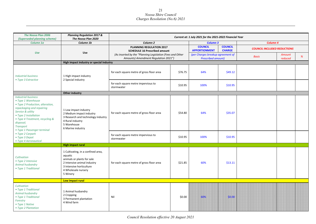| <b>The Noosa Plan 2006</b><br>(Superseded planning scheme)                                                                                                                                                                                                         | <b>Planning Regulation 2017 &amp;</b><br>The Noosa Plan 2020                                                                                                              |                                                                                                   |         | Current at: 1 July 2021 for the 2021-2022 Financial Year       |                                 |                                    |                   |   |
|--------------------------------------------------------------------------------------------------------------------------------------------------------------------------------------------------------------------------------------------------------------------|---------------------------------------------------------------------------------------------------------------------------------------------------------------------------|---------------------------------------------------------------------------------------------------|---------|----------------------------------------------------------------|---------------------------------|------------------------------------|-------------------|---|
| Column 1a                                                                                                                                                                                                                                                          | Column 1b                                                                                                                                                                 | Column <sub>2</sub>                                                                               |         | <b>Column 3</b>                                                |                                 | Column <sub>4</sub>                |                   |   |
|                                                                                                                                                                                                                                                                    |                                                                                                                                                                           | <b>PLANNING REGULATION 2017</b><br><b>SCHEDULE 16 Prescribed amount</b>                           |         | <b>COUNCIL</b><br><b>APPORTIONMENT</b>                         | <b>COUNCIL</b><br><b>CHARGE</b> | <b>COUNCIL INCLUDED REDUCTIONS</b> |                   |   |
| Use                                                                                                                                                                                                                                                                | <b>Use</b>                                                                                                                                                                | (As inserted by the "Planning Legislation (Fees and Other<br>Amounts) Amendment Regulation 2021") |         | (per Charges breakup agreement of<br><b>Prescribed amount)</b> |                                 | <b>Basis</b>                       | Amount<br>reduced | % |
|                                                                                                                                                                                                                                                                    | High impact industry or special industry                                                                                                                                  |                                                                                                   |         |                                                                |                                 |                                    |                   |   |
| <b>Industrial business</b><br>• Type 3 Extractive                                                                                                                                                                                                                  | 1 High impact industry<br>2 Special industry                                                                                                                              | for each square metre of gross floor area                                                         | \$76.75 | 64%                                                            | \$49.12                         |                                    |                   |   |
|                                                                                                                                                                                                                                                                    |                                                                                                                                                                           | for each square metre impervious to<br>stormwater                                                 | \$10.95 | 100%                                                           | \$10.95                         |                                    |                   |   |
|                                                                                                                                                                                                                                                                    | <b>Other industry</b>                                                                                                                                                     |                                                                                                   |         |                                                                |                                 |                                    |                   |   |
| <b>Industrial business</b><br>• Type 1 Warehouse<br>• Type 2 Production, alteration,<br>repackaging and repairing<br>Service & utility<br>• Type 2 Installation<br>• Type 4 Treatment, recycling &<br>disposal;<br><b>Transport</b><br>• Type 1 Passenger terminal | 1 Low impact industry<br>2 Medium impact industry<br>3 Research and technology industry<br>4 Rural industry<br>5 Warehouse<br>6 Marine industry                           | for each square metre of gross floor area                                                         | \$54.80 | 64%                                                            | \$35.07                         |                                    |                   |   |
| • Type 2 Carpark<br>• Type 3 Depot<br>• Type 4 Aeronautical                                                                                                                                                                                                        |                                                                                                                                                                           | for each square metre impervious to<br>stormwater                                                 | \$10.95 | 100%                                                           | \$10.95                         |                                    |                   |   |
|                                                                                                                                                                                                                                                                    | <b>High impact rural</b>                                                                                                                                                  |                                                                                                   |         |                                                                |                                 |                                    |                   |   |
| Cultivation<br>• Type 2 Intensive<br>Animal husbandry<br>• Type 1 Traditional                                                                                                                                                                                      | 1 Cultivating, in a confined area,<br>aquatic<br>animals or plants for sale<br>2 Intensive animal industry<br>3 Intensive horticulture<br>4 Wholesale nursery<br>5 Winery | for each square metre of gross floor area                                                         | \$21.85 | 60%                                                            | \$13.11                         |                                    |                   |   |
|                                                                                                                                                                                                                                                                    | Low impact rural                                                                                                                                                          |                                                                                                   |         |                                                                |                                 |                                    |                   |   |
| Cultivation<br>• Type 1 Traditional<br>Animal husbandry<br>• Type 1 Traditional<br>Forestry<br>• Type 1 Native<br>• Type 2 Plantation                                                                                                                              | 1 Animal husbandry<br>2 Cropping<br>3 Permanent plantation<br>4 Wind farm                                                                                                 | Nil                                                                                               | \$0.00  | 60%                                                            | \$0.00                          |                                    |                   |   |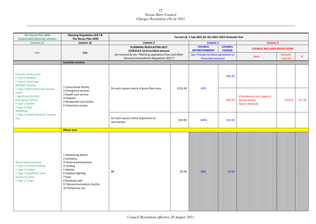| <b>The Noosa Plan 2006</b><br>(Superseded planning scheme)                                                                                                                                   | <b>Planning Regulation 2017 &amp;</b><br>The Noosa Plan 2020                                                                                                                                  |                                                                                                   |          | Current at: 1 July 2021 for the 2021-2022 Financial Year       |                                 |                                                                  |                   |          |
|----------------------------------------------------------------------------------------------------------------------------------------------------------------------------------------------|-----------------------------------------------------------------------------------------------------------------------------------------------------------------------------------------------|---------------------------------------------------------------------------------------------------|----------|----------------------------------------------------------------|---------------------------------|------------------------------------------------------------------|-------------------|----------|
| Column 1a                                                                                                                                                                                    | Column 1b                                                                                                                                                                                     | Column <sub>2</sub>                                                                               |          | <b>Column 3</b>                                                |                                 | Column <sub>4</sub>                                              |                   |          |
|                                                                                                                                                                                              |                                                                                                                                                                                               | <b>PLANNING REGULATION 2017</b><br><b>SCHEDULE 16 Prescribed amount</b>                           |          | <b>COUNCIL</b><br><b>APPORTIONMENT</b>                         | <b>COUNCIL</b><br><b>CHARGE</b> | <b>COUNCIL INCLUDED REDUCTIONS</b>                               |                   |          |
| <b>Use</b>                                                                                                                                                                                   | Use                                                                                                                                                                                           | (As inserted by the "Planning Legislation (Fees and Other<br>Amounts) Amendment Regulation 2021") |          | (per Charges breakup agreement of<br><b>Prescribed amount)</b> |                                 | <b>Basis</b>                                                     | Amount<br>reduced | %        |
|                                                                                                                                                                                              | <b>Essential services</b>                                                                                                                                                                     |                                                                                                   |          |                                                                |                                 |                                                                  |                   |          |
| <b>Commercial business</b><br>• Type 2 Medical<br>• Type 3 Veterinary<br>Multiple housing                                                                                                    | 1 Correctional facility                                                                                                                                                                       |                                                                                                   | \$153.40 | 60%                                                            | \$92.04                         |                                                                  |                   |          |
| • Type 3 Retirement and special<br>needs<br>(aged care facility)<br><b>Emergency service</b><br>• Type 1 Station<br>• Type 2 Shed<br>Wellbeing<br>• Type 1 Health (hospital, hospice<br>etc) | 2 Emergency services<br>3 Health care service<br>4 Hospital<br>5 Residential care facility<br>6 Veterinary service                                                                            | for each square metre of gross floor area                                                         |          |                                                                | \$68.43                         | If Residential care (aged or<br>special needs)<br>(lower demand) | $-523.61$         | $-25.7%$ |
|                                                                                                                                                                                              |                                                                                                                                                                                               | for each square metre impervious to<br>stormwater                                                 | \$10.95  | 100%                                                           | \$10.95                         |                                                                  |                   |          |
|                                                                                                                                                                                              | <b>Minor uses</b>                                                                                                                                                                             |                                                                                                   |          |                                                                |                                 |                                                                  |                   |          |
| Home-based business<br>• Type 1 Limited visibility<br>• Type 2 Evident<br>• Type 3 Significant scale<br>Service & utility<br>• Type 3 Tower                                                  | 1 Advertising device<br>2 Cemetery<br>3 Home-based business<br>4 Landing<br>5 Market<br>6 Outdoor lighting<br>7 Park<br>8 Roadside stall<br>9 Telecommunications facility<br>10 Temporary use | Nil                                                                                               | \$0.00   | 60%                                                            | \$0.00                          |                                                                  |                   |          |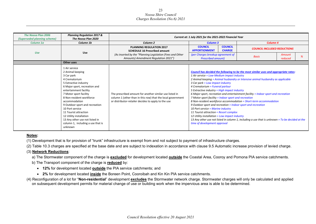| <b>The Noosa Plan 2006</b><br>(Superseded planning scheme) | <b>Planning Regulation 2017 &amp;</b><br>The Noosa Plan 2020                                                                                                                                                                                                                                                                                                                                                           |                                                                                                                                                                               | Current at: 1 July 2021 for the 2021-2022 Financial Year                                                                                                                                                                                                                                                                                                                                                                                                                                                                       |                                                                                                                                                                                                                                                                                                                                                                  |
|------------------------------------------------------------|------------------------------------------------------------------------------------------------------------------------------------------------------------------------------------------------------------------------------------------------------------------------------------------------------------------------------------------------------------------------------------------------------------------------|-------------------------------------------------------------------------------------------------------------------------------------------------------------------------------|--------------------------------------------------------------------------------------------------------------------------------------------------------------------------------------------------------------------------------------------------------------------------------------------------------------------------------------------------------------------------------------------------------------------------------------------------------------------------------------------------------------------------------|------------------------------------------------------------------------------------------------------------------------------------------------------------------------------------------------------------------------------------------------------------------------------------------------------------------------------------------------------------------|
| Column 1a                                                  | Column 1b                                                                                                                                                                                                                                                                                                                                                                                                              | Column <sub>2</sub>                                                                                                                                                           | Column 3                                                                                                                                                                                                                                                                                                                                                                                                                                                                                                                       | Column <sub>4</sub>                                                                                                                                                                                                                                                                                                                                              |
|                                                            |                                                                                                                                                                                                                                                                                                                                                                                                                        | <b>PLANNING REGULATION 2017</b><br><b>SCHEDULE 16 Prescribed amount</b>                                                                                                       | <b>COUNCIL</b><br><b>COUNCIL</b><br><b>APPORTIONMENT</b><br><b>CHARGE</b>                                                                                                                                                                                                                                                                                                                                                                                                                                                      | <b>COUNCIL INCLUDED REDUCTIONS</b>                                                                                                                                                                                                                                                                                                                               |
| <b>Use</b>                                                 | <b>Use</b>                                                                                                                                                                                                                                                                                                                                                                                                             | (As inserted by the "Planning Legislation (Fees and Other<br>Amounts) Amendment Regulation 2021")                                                                             | (per Charges breakup agreement of<br><b>Prescribed amount)</b>                                                                                                                                                                                                                                                                                                                                                                                                                                                                 | Amount<br><b>Basis</b><br>reduced                                                                                                                                                                                                                                                                                                                                |
|                                                            | Other uses                                                                                                                                                                                                                                                                                                                                                                                                             |                                                                                                                                                                               |                                                                                                                                                                                                                                                                                                                                                                                                                                                                                                                                |                                                                                                                                                                                                                                                                                                                                                                  |
|                                                            | 1 Air service<br>2 Animal keeping<br>3 Car park<br>4 Crematorium<br>5 Extractive industry<br>6 Major sport, recreation and<br>entertainment facility<br>7 Motor sport facility<br>8 Non-resident workforce<br>accommodation<br>9 Outdoor sport and recreation<br>10 Port service<br>11 Tourist attraction<br>12 Utility installation<br>13 Any other use not listed in<br>column 1, including a use that is<br>unknown | The prescribed amount for another similar use listed in<br>column 1 (other than in this row) that the local government<br>or distributor-retailer decides to apply to the use | 1 Air service = Low-Medium impact industry<br>3 Car park = Low impact industry<br>4 Crematorium = Funeral parlour<br>5 Extractive industry = High impact industry<br>7 Motor sport facility = Indoor sport and recreation<br>8 Non-resident workforce accommodation = Short-term accommodation<br>9 Outdoor sport and recreation = Indoor sport and recreation<br>10 Port service = Marine industry<br>11 Tourist attraction = Resort complex<br>12 Utility installation = Low impact industry<br>time of development approval | Council has decided the following to be the most similar uses and appropriate rates:<br>2 Animal keeping = Animal husbandry or Intensive animal husbandry as applicable<br>6 Major sport, recreation and entertainment facility = Indoor sport and recreation<br>13 Any other use not listed in column 1, including a use that is unknown = To be decided at the |

#### **Notes:**

(1) Development that is for provision of "trunk" infrastructure is exempt from and not subject to payment of infrastructure charges.

(2) Table 10.3 charges are specified at the base date and are subject to indexation in accordance with clause 9.5 Automatic increase provision of levied charge.

#### (3) **Network Reductions**:

a) The Stormwater component of the charge is **excluded** for development located **outside** the Coastal Area, Cooroy and Pomona PIA service catchments.

- b) The Transport component of the charge is **reduced** by:
	- **12%** for development located **outside** the PIA service catchments; and
	- **2%** for development located **inside** the Boreen Point, Cooroibah and Kin Kin PIA service catchments.
- (4) Reconfiguration of a lot for "**Non-residential**" development **excludes** the Stormwater network charge. Stormwater charges will only be calculated and applied on subsequent development permits for material change of use or building work when the impervious area is able to be determined.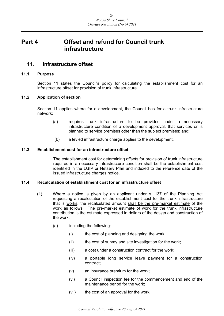## <span id="page-23-0"></span>**Part 4 Offset and refund for Council trunk infrastructure**

## <span id="page-23-1"></span>**11. Infrastructure offset**

#### <span id="page-23-2"></span>**11.1 Purpose**

Section 11 states the Council's policy for calculating the establishment cost for an infrastructure offset for provision of trunk infrastructure.

#### <span id="page-23-3"></span>**11.2 Application of section**

Section 11 applies where for a development, the Council has for a trunk infrastructure network:

- (a) requires trunk infrastructure to be provided under a necessary infrastructure condition of a development approval, that services or is planned to service premises other than the subject premises; and;
- (b) a levied infrastructure charge applies to the development.

#### <span id="page-23-4"></span>**11.3 Establishment cost for an infrastructure offset**

The establishment cost for determining offsets for provision of trunk infrastructure required in a necessary infrastructure condition shall be the establishment cost identified in the LGIP or Netserv Plan and indexed to the reference date of the issued infrastructure charges notice.

#### <span id="page-23-5"></span>**11.4 Recalculation of establishment cost for an infrastructure offset**

- (1) Where a notice is given by an applicant under s. 137 of the Planning Act requesting a recalculation of the establishment cost for the trunk infrastructure that is works, the recalculated amount shall be the pre-market estimate of the work as follows: The pre-market estimate of work for the trunk infrastructure contribution is the estimate expressed in dollars of the design and construction of the work:
	- (a) including the following:
		- (i) the cost of planning and designing the work;
		- (ii) the cost of survey and site investigation for the work;
		- (iii) a cost under a construction contract for the work;
		- (iv) a portable long service leave payment for a construction contract;
		- (v) an insurance premium for the work;
		- (vi) a Council inspection fee for the commencement and end of the maintenance period for the work;
		- (vii) the cost of an approval for the work;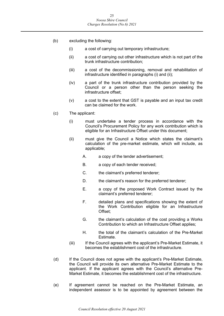- (b) excluding the following:
	- (i) a cost of carrying out temporary infrastructure;
	- (ii) a cost of carrying out other infrastructure which is not part of the trunk infrastructure contribution;
	- (iii) a cost of the decommissioning, removal and rehabilitation of infrastructure identified in paragraphs (i) and (ii);
	- (iv) a part of the trunk infrastructure contribution provided by the Council or a person other than the person seeking the infrastructure offset;
	- (v) a cost to the extent that GST is payable and an input tax credit can be claimed for the work.
- (c) The applicant:
	- (i) must undertake a tender process in accordance with the Council's Procurement Policy for any work contribution which is eligible for an Infrastructure Offset under this document;
	- (ii) must give the Council a Notice which states the claimant's calculation of the pre-market estimate, which will include, as applicable;
		- A. a copy of the tender advertisement;
		- B. a copy of each tender received;
		- C. the claimant's preferred tenderer;
		- D. the claimant's reason for the preferred tenderer;
		- E. a copy of the proposed Work Contract issued by the claimant's preferred tenderer;
		- F. detailed plans and specifications showing the extent of the Work Contribution eligible for an Infrastructure Offset;
		- G. the claimant's calculation of the cost providing a Works Contribution to which an Infrastructure Offset applies;
		- H. the total of the claimant's calculation of the Pre-Market Estimate.
	- (iii) If the Council agrees with the applicant's Pre-Market Estimate, it becomes the establishment cost of the infrastructure.
- (d) If the Council does not agree with the applicant's Pre-Market Estimate, the Council will provide its own alternative Pre-Market Estimate to the applicant. If the applicant agrees with the Council's alternative Pre-Market Estimate, it becomes the establishment cost of the infrastructure.
- (e) If agreement cannot be reached on the Pre-Market Estimate, an independent assessor is to be appointed by agreement between the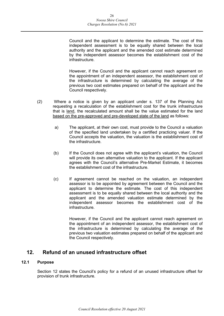Council and the applicant to determine the estimate. The cost of this independent assessment is to be equally shared between the local authority and the applicant and the amended cost estimate determined by the independent assessor becomes the establishment cost of the infrastructure.

However, if the Council and the applicant cannot reach agreement on the appointment of an independent assessor, the establishment cost of the infrastructure is determined by calculating the average of the previous two cost estimates prepared on behalf of the applicant and the Council respectively.

- (2) Where a notice is given by an applicant under s. 137 of the Planning Act requesting a recalculation of the establishment cost for the trunk infrastructure that is land, the recalculated amount shall be the value estimated for the land based on the pre-approved and pre-developed state of the land as follows:
	- a) The applicant, at their own cost, must provide to the Council a valuation of the specified land undertaken by a certified practicing valuer. If the Council accepts the valuation, the valuation is the establishment cost of the infrastructure.
	- (b) If the Council does not agree with the applicant's valuation, the Council will provide its own alternative valuation to the applicant. If the applicant agrees with the Council's alternative Pre-Market Estimate, it becomes the establishment cost of the infrastructure.
	- (c) If agreement cannot be reached on the valuation, an independent assessor is to be appointed by agreement between the Council and the applicant to determine the estimate. The cost of this independent assessment is to be equally shared between the local authority and the applicant and the amended valuation estimate determined by the independent assessor becomes the establishment cost of the infrastructure.

However, if the Council and the applicant cannot reach agreement on the appointment of an independent assessor, the establishment cost of the infrastructure is determined by calculating the average of the previous two valuation estimates prepared on behalf of the applicant and the Council respectively.

## <span id="page-25-0"></span>**12. Refund of an unused infrastructure offset**

#### <span id="page-25-1"></span>**12.1 Purpose**

Section 12 states the Council's policy for a refund of an unused infrastructure offset for provision of trunk infrastructure.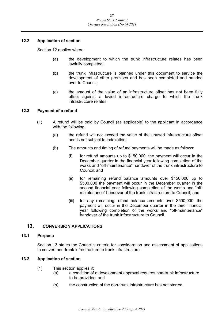#### <span id="page-26-0"></span>**12.2 Application of section**

Section 12 applies where:

- (a) the development to which the trunk infrastructure relates has been lawfully completed;
- (b) the trunk infrastructure is planned under this document to service the development of other premises and has been completed and handed over to Council;
- (c) the amount of the value of an infrastructure offset has not been fully offset against a levied infrastructure charge to which the trunk infrastructure relates.

#### <span id="page-26-1"></span>**12.3 Payment of a refund**

- (1) A refund will be paid by Council (as applicable) to the applicant in accordance with the following:
	- (a) the refund will not exceed the value of the unused infrastructure offset and is not subject to indexation;
	- (b) The amounts and timing of refund payments will be made as follows:
		- (i) for refund amounts up to \$150,000, the payment will occur in the December quarter in the financial year following completion of the works and "off-maintenance" handover of the trunk infrastructure to Council; and
		- (ii) for remaining refund balance amounts over \$150,000 up to \$500,000 the payment will occur in the December quarter in the second financial year following completion of the works and "offmaintenance" handover of the trunk infrastructure to Council; and
		- (iii) for any remaining refund balance amounts over \$500,000, the payment will occur in the December quarter in the third financial year following completion of the works and "off-maintenance" handover of the trunk infrastructure to Council.

#### <span id="page-26-2"></span>**13. CONVERSION APPLICATIONS**

#### <span id="page-26-3"></span>**13.1 Purpose**

Section 13 states the Council's criteria for consideration and assessment of applications to convert non-trunk infrastructure to trunk infrastructure.

#### <span id="page-26-4"></span>**13.2 Application of section**

- (1) This section applies if:
	- (a) a condition of a development approval requires non-trunk infrastructure to be provided; and
	- (b) the construction of the non-trunk infrastructure has not started.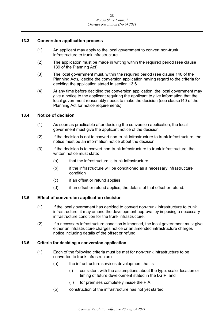#### <span id="page-27-0"></span>**13.3 Conversion application process**

- (1) An applicant may apply to the local government to convert non-trunk infrastructure to trunk infrastructure.
- (2) The application must be made in writing within the required period (see clause 139 of the Planning Act).
- (3) The local government must, within the required period (see clause 140 of the Planning Act), decide the conversion application having regard to the criteria for deciding the application stated in section 13.6.
- (4) At any time before deciding the conversion application, the local government may give a notice to the applicant requiring the applicant to give information that the local government reasonably needs to make the decision (see clause140 of the Planning Act for notice requirements).

#### <span id="page-27-1"></span>**13.4 Notice of decision**

- (1) As soon as practicable after deciding the conversion application, the local government must give the applicant notice of the decision.
- (2) If the decision is not to convert non-trunk infrastructure to trunk infrastructure, the notice must be an information notice about the decision.
- (3) If the decision is to convert non-trunk infrastructure to trunk infrastructure, the written notice must state:
	- (a) that the infrastructure is trunk infrastructure
	- (b) if the infrastructure will be conditioned as a necessary infrastructure condition
	- (c) if an offset or refund applies
	- (d) if an offset or refund applies, the details of that offset or refund.

#### <span id="page-27-2"></span>**13.5 Effect of conversion application decision**

- (1) If the local government has decided to convert non-trunk infrastructure to trunk infrastructure, it may amend the development approval by imposing a necessary infrastructure condition for the trunk infrastructure.
- (2) If a necessary infrastructure condition is imposed, the local government must give either an infrastructure charges notice or an amended infrastructure charges notice including details of the offset or refund.

#### <span id="page-27-3"></span>**13.6 Criteria for deciding a conversion application**

- (1) Each of the following criteria must be met for non-trunk infrastructure to be converted to trunk infrastructure :
	- (a) the infrastructure services development that is-
		- (i) consistent with the assumptions about the type, scale, location or timing of future development stated in the LGIP; and
		- (ii) for premises completely inside the PIA.
	- (b) construction of the infrastructure has not yet started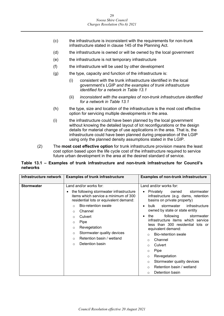- (c) the infrastructure is inconsistent with the requirements for non-trunk infrastructure stated in clause 145 of the Planning Act.
- (d) the infrastructure is owned or will be owned by the local government
- (e) the infrastructure is not temporary infrastructure
- (f) the infrastructure will be used by other development
- $(g)$  the type, capacity and function of the infrastructure is:
	- (i) consistent with the trunk infrastructure identified in the local government's LGIP *and the examples of trunk infrastructure identified for a network in Table 13.1*
	- (ii) *inconsistent with the examples of non-trunk infrastructure identified for a network in Table 13.1*
- (h) the type, size and location of the infrastructure is the most cost effective option for servicing multiple developments in the area.
- (i) the infrastructure could have been planned by the local government without knowing the detailed layout of lot reconfigurations or the design details for material change of use applications in the area. That is, the infrastructure could have been planned during preparation of the LGIP using only the planned density assumptions stated in the LGIP.
- (2) The **most cost effective option** for trunk infrastructure provision means the least cost option based upon the life cycle cost of the infrastructure required to service future urban development in the area at the desired standard of service.

#### **Table 13.1 – Examples of trunk infrastructure and non-trunk infrastructure for Council's networks**

| Infrastructure network | <b>Examples of trunk infrastructure</b>                                                                                                                                                                                                                                                                                                                                                                 | <b>Examples of non-trunk infrastructure</b>                                                                                                                                                                                                                                                                                                                                                                                                                                                                                                                                                               |
|------------------------|---------------------------------------------------------------------------------------------------------------------------------------------------------------------------------------------------------------------------------------------------------------------------------------------------------------------------------------------------------------------------------------------------------|-----------------------------------------------------------------------------------------------------------------------------------------------------------------------------------------------------------------------------------------------------------------------------------------------------------------------------------------------------------------------------------------------------------------------------------------------------------------------------------------------------------------------------------------------------------------------------------------------------------|
| <b>Stormwater</b>      | Land and/or works for:<br>the following stormwater infrastructure<br>items which service a minimum of 300<br>residential lots or equivalent demand:<br><b>Bio-retention swale</b><br>$\Omega$<br>Channel<br>$\circ$<br>Culvert<br>$\circ$<br>Pipe<br>$\circ$<br>Revegetation<br>$\circ$<br>Stormwater quality devices<br>$\circ$<br>Retention basin / wetland<br>$\Omega$<br>Detention basin<br>$\circ$ | Land and/or works for:<br>Privately<br>owned<br>stormwater<br>infrastructure (e.g. dams, retention<br>basins on private property)<br>stormwater<br>infrastructure<br>bulk.<br>owned by state or state entity<br>following<br>the<br>stormwater<br>٠<br>infrastructure items which service<br>less than 300 residential lots or<br>equivalent demand:<br><b>Bio-retention swale</b><br>$\Omega$<br>Channel<br>$\circ$<br>Culvert<br>$\Omega$<br>Pipe<br>$\circ$<br>Revegetation<br>$\circ$<br>Stormwater quality devices<br>$\circ$<br>Retention basin / wetland<br>$\circ$<br>Detention basin<br>$\Omega$ |